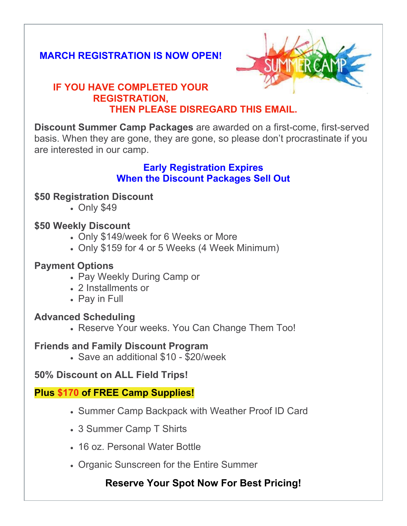## **MARCH REGISTRATION IS NOW OPEN!**



### **IF YOU HAVE COMPLETED YOUR REGISTRATION, THEN PLEASE DISREGARD THIS EMAIL.**

**Discount Summer Camp Packages** are awarded on a first-come, first-served basis. When they are gone, they are gone, so please don't procrastinate if you are interested in our camp.

#### **Early Registration Expires When the Discount Packages Sell Out**

#### **\$50 Registration Discount**

• Only \$49

#### **\$50 Weekly Discount**

- Only \$149/week for 6 Weeks or More
- Only \$159 for 4 or 5 Weeks (4 Week Minimum)

### **Payment Options**

- Pay Weekly During Camp or
- 2 Installments or
- Pay in Full

#### **Advanced Scheduling**

• Reserve Your weeks. You Can Change Them Too!

#### **Friends and Family Discount Program**

• Save an additional \$10 - \$20/week

#### **50% Discount on ALL Field Trips!**

#### **Plus \$170 of FREE Camp Supplies!**

- Summer Camp Backpack with Weather Proof ID Card
- 3 Summer Camp T Shirts
- 16 oz. Personal Water Bottle
- Organic Sunscreen for the Entire Summer

## **Reserve Your Spot Now For Best Pricing!**